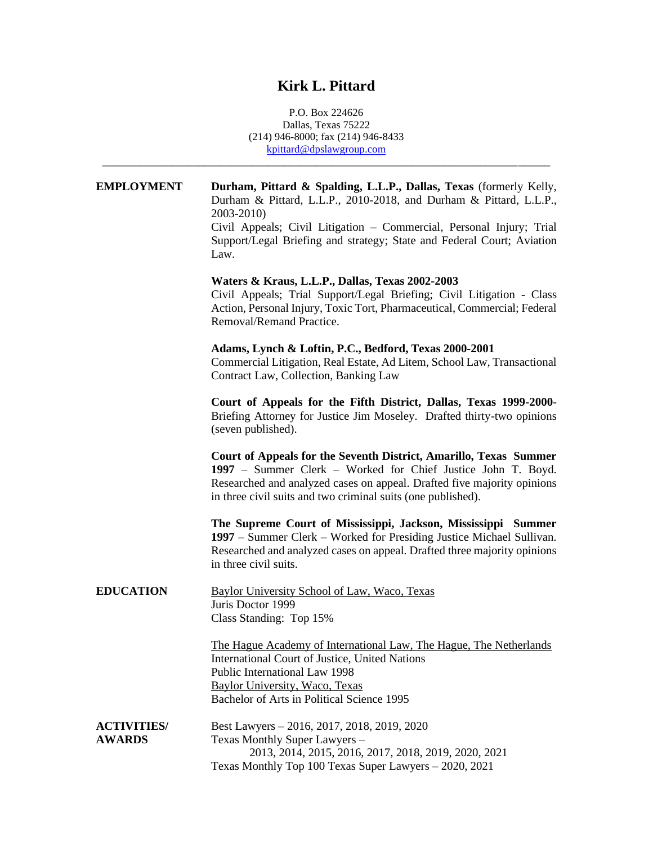## **Kirk L. Pittard**

P.O. Box 224626 Dallas, Texas 75222 (214) 946-8000; fax (214) 946-8433 kpittard@dpslawgroup.com

\_\_\_\_\_\_\_\_\_\_\_\_\_\_\_\_\_\_\_\_\_\_\_\_\_\_\_\_\_\_\_\_\_\_\_\_\_\_\_\_\_\_\_\_\_\_\_\_\_\_\_\_\_\_\_\_\_\_\_\_\_\_\_\_\_\_\_\_\_\_\_\_\_\_\_\_\_\_\_\_\_\_\_\_

| <b>EMPLOYMENT</b>                   | Durham, Pittard & Spalding, L.L.P., Dallas, Texas (formerly Kelly,<br>Durham & Pittard, L.L.P., 2010-2018, and Durham & Pittard, L.L.P.,<br>2003-2010)<br>Civil Appeals; Civil Litigation - Commercial, Personal Injury; Trial<br>Support/Legal Briefing and strategy; State and Federal Court; Aviation<br>Law. |
|-------------------------------------|------------------------------------------------------------------------------------------------------------------------------------------------------------------------------------------------------------------------------------------------------------------------------------------------------------------|
|                                     | Waters & Kraus, L.L.P., Dallas, Texas 2002-2003<br>Civil Appeals; Trial Support/Legal Briefing; Civil Litigation - Class<br>Action, Personal Injury, Toxic Tort, Pharmaceutical, Commercial; Federal<br>Removal/Remand Practice.                                                                                 |
|                                     | Adams, Lynch & Loftin, P.C., Bedford, Texas 2000-2001<br>Commercial Litigation, Real Estate, Ad Litem, School Law, Transactional<br>Contract Law, Collection, Banking Law                                                                                                                                        |
|                                     | Court of Appeals for the Fifth District, Dallas, Texas 1999-2000-<br>Briefing Attorney for Justice Jim Moseley. Drafted thirty-two opinions<br>(seven published).                                                                                                                                                |
|                                     | Court of Appeals for the Seventh District, Amarillo, Texas Summer<br>1997 – Summer Clerk – Worked for Chief Justice John T. Boyd.<br>Researched and analyzed cases on appeal. Drafted five majority opinions<br>in three civil suits and two criminal suits (one published).                                     |
|                                     | The Supreme Court of Mississippi, Jackson, Mississippi Summer<br>1997 – Summer Clerk – Worked for Presiding Justice Michael Sullivan.<br>Researched and analyzed cases on appeal. Drafted three majority opinions<br>in three civil suits.                                                                       |
| <b>EDUCATION</b>                    | Baylor University School of Law, Waco, Texas<br>Juris Doctor 1999<br>Class Standing: Top 15%                                                                                                                                                                                                                     |
|                                     | The Hague Academy of International Law, The Hague, The Netherlands<br>International Court of Justice, United Nations<br>Public International Law 1998<br>Baylor University, Waco, Texas<br>Bachelor of Arts in Political Science 1995                                                                            |
| <b>ACTIVITIES/</b><br><b>AWARDS</b> | Best Lawyers - 2016, 2017, 2018, 2019, 2020<br>Texas Monthly Super Lawyers -<br>2013, 2014, 2015, 2016, 2017, 2018, 2019, 2020, 2021<br>Texas Monthly Top 100 Texas Super Lawyers - 2020, 2021                                                                                                                   |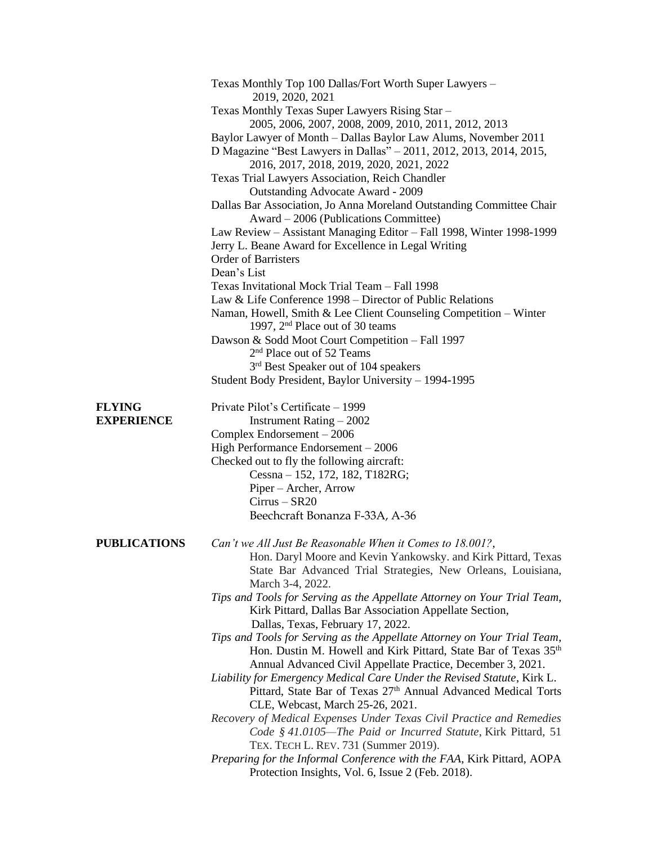|                     | Texas Monthly Top 100 Dallas/Fort Worth Super Lawyers -                                                          |
|---------------------|------------------------------------------------------------------------------------------------------------------|
|                     | 2019, 2020, 2021                                                                                                 |
|                     | Texas Monthly Texas Super Lawyers Rising Star -<br>2005, 2006, 2007, 2008, 2009, 2010, 2011, 2012, 2013          |
|                     | Baylor Lawyer of Month - Dallas Baylor Law Alums, November 2011                                                  |
|                     | D Magazine "Best Lawyers in Dallas" - 2011, 2012, 2013, 2014, 2015,<br>2016, 2017, 2018, 2019, 2020, 2021, 2022  |
|                     | Texas Trial Lawyers Association, Reich Chandler                                                                  |
|                     | Outstanding Advocate Award - 2009                                                                                |
|                     | Dallas Bar Association, Jo Anna Moreland Outstanding Committee Chair                                             |
|                     | Award – 2006 (Publications Committee)                                                                            |
|                     | Law Review - Assistant Managing Editor - Fall 1998, Winter 1998-1999                                             |
|                     | Jerry L. Beane Award for Excellence in Legal Writing                                                             |
|                     | <b>Order of Barristers</b>                                                                                       |
|                     | Dean's List                                                                                                      |
|                     | Texas Invitational Mock Trial Team - Fall 1998                                                                   |
|                     | Law & Life Conference 1998 – Director of Public Relations                                                        |
|                     | Naman, Howell, Smith & Lee Client Counseling Competition - Winter<br>1997, 2 <sup>nd</sup> Place out of 30 teams |
|                     | Dawson & Sodd Moot Court Competition - Fall 1997                                                                 |
|                     | 2 <sup>nd</sup> Place out of 52 Teams                                                                            |
|                     | 3 <sup>rd</sup> Best Speaker out of 104 speakers                                                                 |
|                     | Student Body President, Baylor University - 1994-1995                                                            |
|                     |                                                                                                                  |
| <b>FLYING</b>       | Private Pilot's Certificate – 1999                                                                               |
| <b>EXPERIENCE</b>   | Instrument Rating $-2002$                                                                                        |
|                     | Complex Endorsement $-2006$                                                                                      |
|                     | High Performance Endorsement - 2006                                                                              |
|                     | Checked out to fly the following aircraft:                                                                       |
|                     | Cessna – 152, 172, 182, T182RG;                                                                                  |
|                     | Piper – Archer, Arrow                                                                                            |
|                     | $Cirrus - SR20$                                                                                                  |
|                     | Beechcraft Bonanza F-33A, A-36                                                                                   |
| <b>PUBLICATIONS</b> | Can't we All Just Be Reasonable When it Comes to 18.001?,                                                        |
|                     | Hon. Daryl Moore and Kevin Yankowsky. and Kirk Pittard, Texas                                                    |
|                     | State Bar Advanced Trial Strategies, New Orleans, Louisiana,                                                     |
|                     | March 3-4, 2022.                                                                                                 |
|                     | Tips and Tools for Serving as the Appellate Attorney on Your Trial Team,                                         |
|                     | Kirk Pittard, Dallas Bar Association Appellate Section,                                                          |
|                     | Dallas, Texas, February 17, 2022.                                                                                |
|                     | Tips and Tools for Serving as the Appellate Attorney on Your Trial Team,                                         |
|                     | Hon. Dustin M. Howell and Kirk Pittard, State Bar of Texas 35 <sup>th</sup>                                      |
|                     | Annual Advanced Civil Appellate Practice, December 3, 2021.                                                      |
|                     | Liability for Emergency Medical Care Under the Revised Statute, Kirk L.                                          |
|                     | Pittard, State Bar of Texas 27th Annual Advanced Medical Torts                                                   |
|                     | CLE, Webcast, March 25-26, 2021.                                                                                 |
|                     | Recovery of Medical Expenses Under Texas Civil Practice and Remedies                                             |
|                     | Code § 41.0105—The Paid or Incurred Statute, Kirk Pittard, 51                                                    |
|                     | TEX. TECH L. REV. 731 (Summer 2019).                                                                             |
|                     | Preparing for the Informal Conference with the FAA, Kirk Pittard, AOPA                                           |
|                     | Protection Insights, Vol. 6, Issue 2 (Feb. 2018).                                                                |
|                     |                                                                                                                  |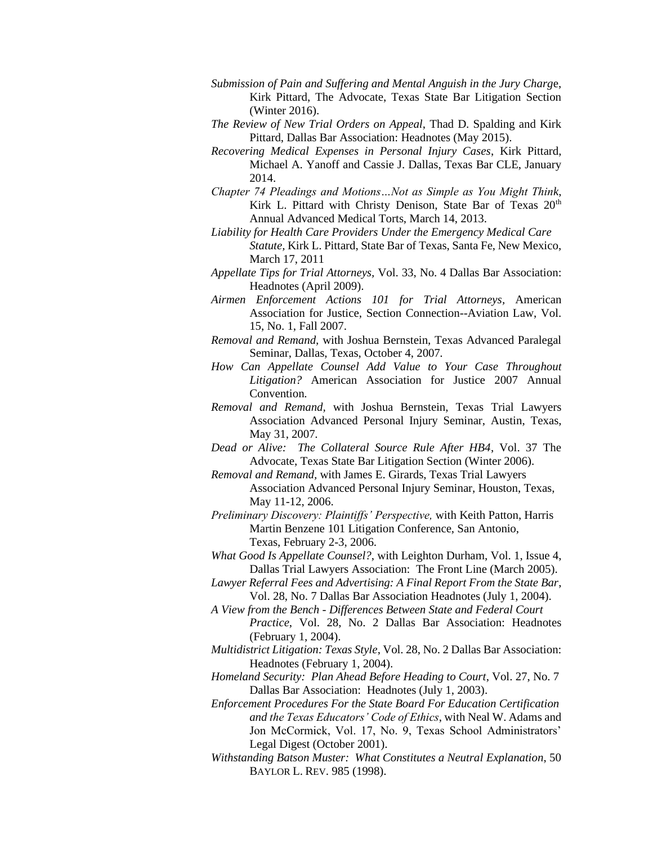- *Submission of Pain and Suffering and Mental Anguish in the Jury Charg*e, Kirk Pittard, The Advocate, Texas State Bar Litigation Section (Winter 2016).
- *The Review of New Trial Orders on Appeal*, Thad D. Spalding and Kirk Pittard, Dallas Bar Association: Headnotes (May 2015).
- *Recovering Medical Expenses in Personal Injury Cases*, Kirk Pittard, Michael A. Yanoff and Cassie J. Dallas, Texas Bar CLE, January 2014.
- *Chapter 74 Pleadings and Motions…Not as Simple as You Might Think*, Kirk L. Pittard with Christy Denison, State Bar of Texas 20<sup>th</sup> Annual Advanced Medical Torts, March 14, 2013.
- *Liability for Health Care Providers Under the Emergency Medical Care* 
	- *Statute,* Kirk L. Pittard, State Bar of Texas, Santa Fe, New Mexico, March 17, 2011
- *Appellate Tips for Trial Attorneys,* Vol. 33, No. 4 Dallas Bar Association: Headnotes (April 2009).
- *Airmen Enforcement Actions 101 for Trial Attorneys,* American Association for Justice, Section Connection--Aviation Law, Vol. 15, No. 1, Fall 2007.
- *Removal and Remand,* with Joshua Bernstein, Texas Advanced Paralegal Seminar, Dallas, Texas, October 4, 2007*.*
- *How Can Appellate Counsel Add Value to Your Case Throughout Litigation?* American Association for Justice 2007 Annual Convention*.*
- *Removal and Remand,* with Joshua Bernstein, Texas Trial Lawyers Association Advanced Personal Injury Seminar, Austin, Texas, May 31, 2007*.*
- *Dead or Alive: The Collateral Source Rule After HB4*, Vol. 37 The Advocate, Texas State Bar Litigation Section (Winter 2006).
- *Removal and Remand,* with James E. Girards, Texas Trial Lawyers
	- Association Advanced Personal Injury Seminar, Houston, Texas, May 11-12, 2006.
- *Preliminary Discovery: Plaintiffs' Perspective,* with Keith Patton, Harris Martin Benzene 101 Litigation Conference, San Antonio, Texas, February 2-3, 2006.
- *What Good Is Appellate Counsel?*, with Leighton Durham, Vol. 1, Issue 4, Dallas Trial Lawyers Association: The Front Line (March 2005).
- *Lawyer Referral Fees and Advertising: A Final Report From the State Bar*, Vol. 28, No. 7 Dallas Bar Association Headnotes (July 1, 2004).
- *A View from the Bench - Differences Between State and Federal Court Practice*, Vol. 28, No. 2 Dallas Bar Association: Headnotes (February 1, 2004).
- *Multidistrict Litigation: Texas Style*, Vol. 28, No. 2 Dallas Bar Association: Headnotes (February 1, 2004).
- *Homeland Security: Plan Ahead Before Heading to Court*, Vol. 27, No. 7 Dallas Bar Association: Headnotes (July 1, 2003).
- *Enforcement Procedures For the State Board For Education Certification and the Texas Educators' Code of Ethics*, with Neal W. Adams and Jon McCormick, Vol. 17, No. 9, Texas School Administrators' Legal Digest (October 2001).
- *Withstanding Batson Muster: What Constitutes a Neutral Explanation*, 50 BAYLOR L. REV. 985 (1998).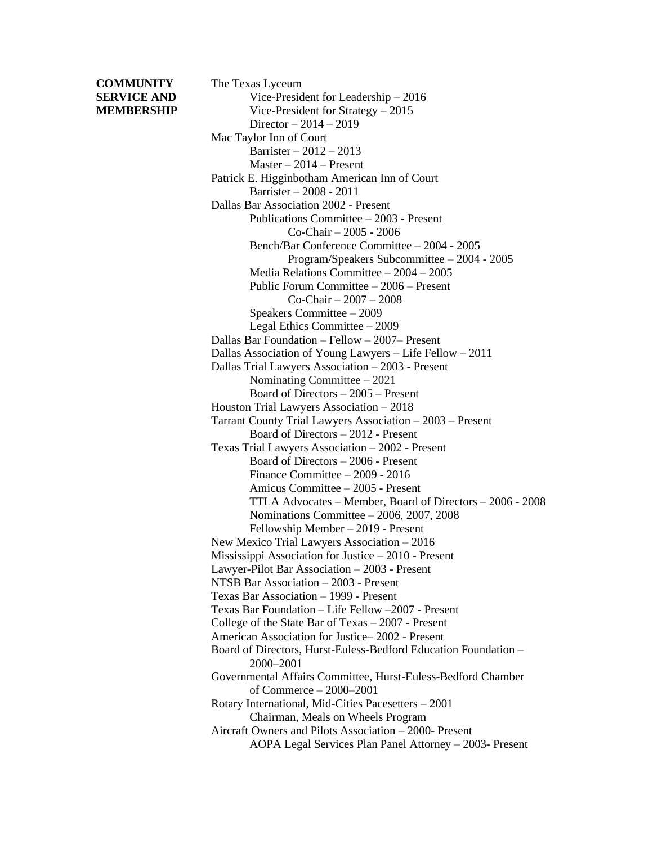## **COMMUNITY** The Texas Lyceum

**SERVICE AND** Vice-President for Leadership – 2016 **MEMBERSHIP** Vice-President for Strategy – 2015 Director – 2014 – 2019 Mac Taylor Inn of Court Barrister – 2012 – 2013 Master – 2014 – Present Patrick E. Higginbotham American Inn of Court Barrister – 2008 - 2011 Dallas Bar Association 2002 - Present Publications Committee – 2003 - Present Co-Chair – 2005 - 2006 Bench/Bar Conference Committee – 2004 - 2005 Program/Speakers Subcommittee – 2004 - 2005 Media Relations Committee – 2004 – 2005 Public Forum Committee – 2006 – Present Co-Chair – 2007 – 2008 Speakers Committee – 2009 Legal Ethics Committee – 2009 Dallas Bar Foundation – Fellow – 2007– Present Dallas Association of Young Lawyers – Life Fellow – 2011 Dallas Trial Lawyers Association – 2003 - Present Nominating Committee – 2021 Board of Directors – 2005 – Present Houston Trial Lawyers Association – 2018 Tarrant County Trial Lawyers Association – 2003 – Present Board of Directors – 2012 - Present Texas Trial Lawyers Association – 2002 - Present Board of Directors – 2006 - Present Finance Committee – 2009 - 2016 Amicus Committee – 2005 - Present TTLA Advocates – Member, Board of Directors – 2006 - 2008 Nominations Committee – 2006, 2007, 2008 Fellowship Member – 2019 - Present New Mexico Trial Lawyers Association – 2016 Mississippi Association for Justice – 2010 - Present Lawyer-Pilot Bar Association – 2003 - Present NTSB Bar Association – 2003 - Present Texas Bar Association – 1999 - Present Texas Bar Foundation – Life Fellow –2007 - Present College of the State Bar of Texas – 2007 - Present American Association for Justice– 2002 - Present Board of Directors, Hurst-Euless-Bedford Education Foundation – 2000–2001 Governmental Affairs Committee, Hurst-Euless-Bedford Chamber of Commerce – 2000–2001 Rotary International, Mid-Cities Pacesetters – 2001 Chairman, Meals on Wheels Program Aircraft Owners and Pilots Association – 2000- Present AOPA Legal Services Plan Panel Attorney – 2003- Present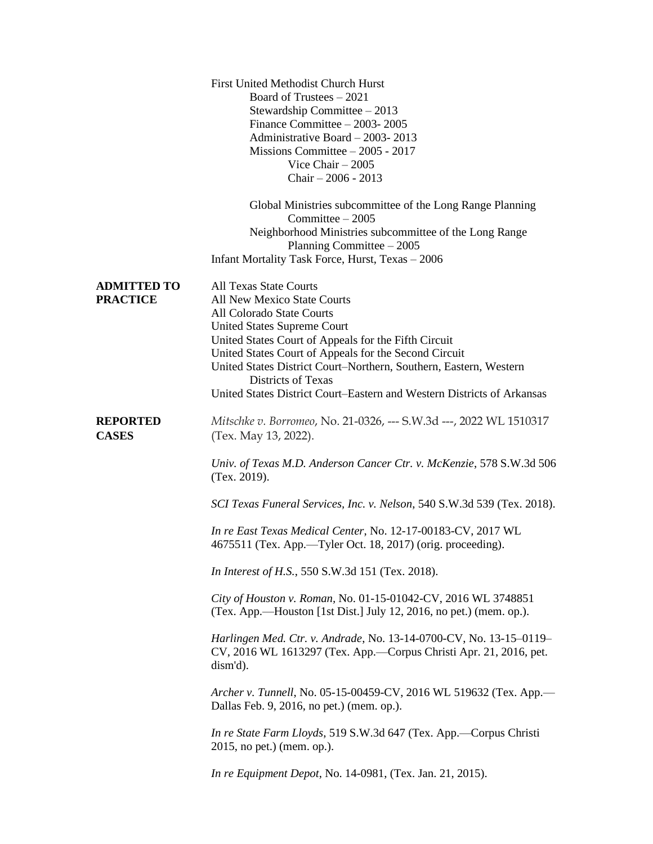|                                       | <b>First United Methodist Church Hurst</b><br>Board of Trustees – 2021<br>Stewardship Committee $-2013$<br>Finance Committee $-2003-2005$<br>Administrative Board - 2003-2013<br>Missions Committee $-2005 - 2017$<br>Vice Chair $-2005$<br>Chair $-2006 - 2013$<br>Global Ministries subcommittee of the Long Range Planning                                                                                                |
|---------------------------------------|------------------------------------------------------------------------------------------------------------------------------------------------------------------------------------------------------------------------------------------------------------------------------------------------------------------------------------------------------------------------------------------------------------------------------|
|                                       | Committee $-2005$<br>Neighborhood Ministries subcommittee of the Long Range                                                                                                                                                                                                                                                                                                                                                  |
|                                       | Planning Committee $-2005$<br>Infant Mortality Task Force, Hurst, Texas - 2006                                                                                                                                                                                                                                                                                                                                               |
| <b>ADMITTED TO</b><br><b>PRACTICE</b> | <b>All Texas State Courts</b><br><b>All New Mexico State Courts</b><br>All Colorado State Courts<br><b>United States Supreme Court</b><br>United States Court of Appeals for the Fifth Circuit<br>United States Court of Appeals for the Second Circuit<br>United States District Court-Northern, Southern, Eastern, Western<br>Districts of Texas<br>United States District Court–Eastern and Western Districts of Arkansas |
| <b>REPORTED</b><br><b>CASES</b>       | Mitschke v. Borromeo, No. 21-0326, --- S.W.3d ---, 2022 WL 1510317<br>(Tex. May 13, 2022).                                                                                                                                                                                                                                                                                                                                   |
|                                       | Univ. of Texas M.D. Anderson Cancer Ctr. v. McKenzie, 578 S.W.3d 506<br>(Tex. 2019).                                                                                                                                                                                                                                                                                                                                         |
|                                       | SCI Texas Funeral Services, Inc. v. Nelson, 540 S.W.3d 539 (Tex. 2018).                                                                                                                                                                                                                                                                                                                                                      |
|                                       | In re East Texas Medical Center, No. 12-17-00183-CV, 2017 WL<br>4675511 (Tex. App.—Tyler Oct. 18, 2017) (orig. proceeding).                                                                                                                                                                                                                                                                                                  |
|                                       | In Interest of H.S., 550 S.W.3d 151 (Tex. 2018).                                                                                                                                                                                                                                                                                                                                                                             |
|                                       | City of Houston v. Roman, No. 01-15-01042-CV, 2016 WL 3748851<br>(Tex. App.—Houston [1st Dist.] July 12, 2016, no pet.) (mem. op.).                                                                                                                                                                                                                                                                                          |
|                                       | Harlingen Med. Ctr. v. Andrade, No. 13-14-0700-CV, No. 13-15-0119-<br>CV, 2016 WL 1613297 (Tex. App.—Corpus Christi Apr. 21, 2016, pet.<br>dism'd).                                                                                                                                                                                                                                                                          |
|                                       | Archer v. Tunnell, No. 05-15-00459-CV, 2016 WL 519632 (Tex. App.-<br>Dallas Feb. 9, 2016, no pet.) (mem. op.).                                                                                                                                                                                                                                                                                                               |
|                                       | In re State Farm Lloyds, 519 S.W.3d 647 (Tex. App.—Corpus Christi<br>2015, no pet.) (mem. op.).                                                                                                                                                                                                                                                                                                                              |
|                                       | <i>In re Equipment Depot, No. 14-0981, (Tex. Jan. 21, 2015).</i>                                                                                                                                                                                                                                                                                                                                                             |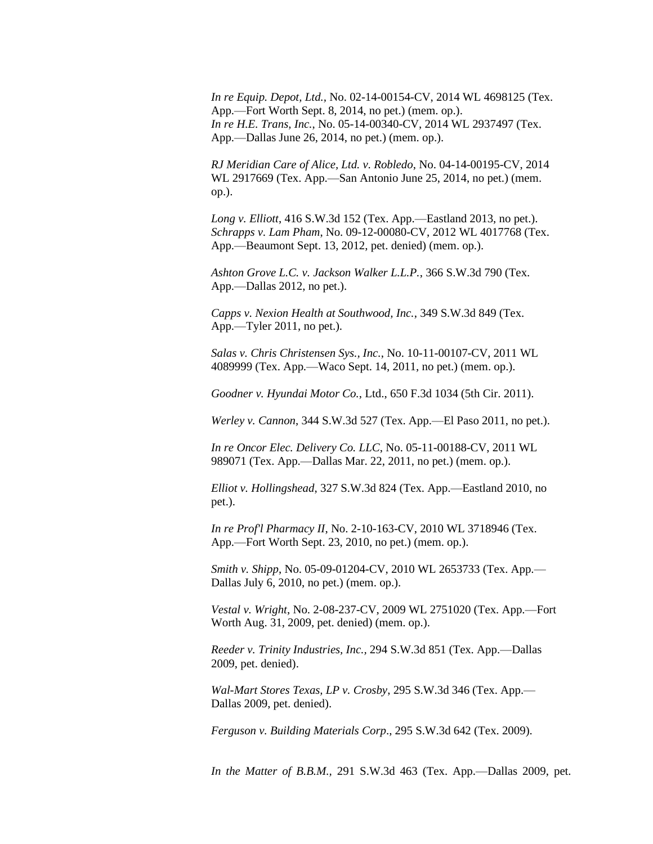*In re Equip. Depot, Ltd.,* No. 02-14-00154-CV, 2014 WL 4698125 (Tex. App.—Fort Worth Sept. 8, 2014, no pet.) (mem. op.). *In re H.E. Trans, Inc.*, No. 05-14-00340-CV, 2014 WL 2937497 (Tex. App.—Dallas June 26, 2014, no pet.) (mem. op.).

*RJ Meridian Care of Alice, Ltd. v. Robledo*, No. 04-14-00195-CV, 2014 WL 2917669 (Tex. App.—San Antonio June 25, 2014, no pet.) (mem. op.).

*Long v. Elliott*, 416 S.W.3d 152 (Tex. App.—Eastland 2013, no pet.). *Schrapps v. Lam Pham*, No. 09-12-00080-CV, 2012 WL 4017768 (Tex. App.—Beaumont Sept. 13, 2012, pet. denied) (mem. op.).

*Ashton Grove L.C. v. Jackson Walker L.L.P.*, 366 S.W.3d 790 (Tex. App.—Dallas 2012, no pet.).

*Capps v. Nexion Health at Southwood, Inc.*, 349 S.W.3d 849 (Tex. App.—Tyler 2011, no pet.).

*Salas v. Chris Christensen Sys., Inc.*, No. 10-11-00107-CV, 2011 WL 4089999 (Tex. App.—Waco Sept. 14, 2011, no pet.) (mem. op.).

*Goodner v. Hyundai Motor Co.*, Ltd., 650 F.3d 1034 (5th Cir. 2011).

*Werley v. Cannon*, 344 S.W.3d 527 (Tex. App.—El Paso 2011, no pet.).

*In re Oncor Elec. Delivery Co. LLC*, No. 05-11-00188-CV, 2011 WL 989071 (Tex. App.—Dallas Mar. 22, 2011, no pet.) (mem. op.).

*Elliot v. Hollingshead*, 327 S.W.3d 824 (Tex. App.—Eastland 2010, no pet.).

*In re Prof'l Pharmacy II*, No. 2-10-163-CV, 2010 WL 3718946 (Tex. App.—Fort Worth Sept. 23, 2010, no pet.) (mem. op.).

*Smith v. Shipp*, No. 05-09-01204-CV, 2010 WL 2653733 (Tex. App.— Dallas July 6, 2010, no pet.) (mem. op.).

*Vestal v. Wright*, No. 2-08-237-CV, 2009 WL 2751020 (Tex. App.—Fort Worth Aug. 31, 2009, pet. denied) (mem. op.).

*Reeder v. Trinity Industries, Inc.,* 294 S.W.3d 851 (Tex. App.—Dallas 2009, pet. denied).

*Wal-Mart Stores Texas, LP v. Crosby*, 295 S.W.3d 346 (Tex. App.— Dallas 2009, pet. denied).

*Ferguson v. Building Materials Corp*., 295 S.W.3d 642 (Tex. 2009).

*In the Matter of B.B.M.,* 291 S.W.3d 463 (Tex. App.—Dallas 2009, pet.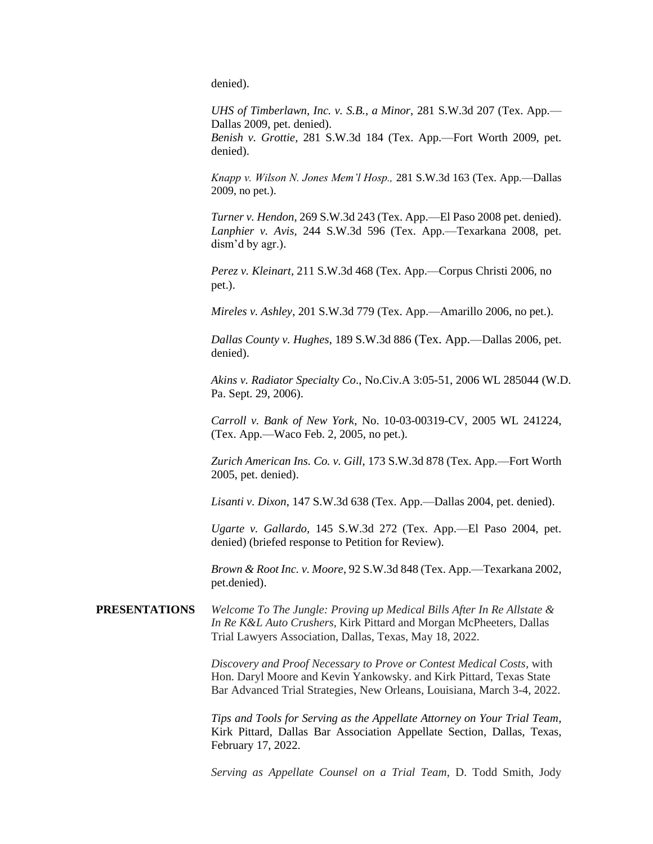denied).

*UHS of Timberlawn, Inc. v. S.B., a Minor,* 281 S.W.3d 207 (Tex. App.— Dallas 2009, pet. denied).

*Benish v. Grottie,* 281 S.W.3d 184 (Tex. App.—Fort Worth 2009, pet. denied).

*Knapp v. Wilson N. Jones Mem'l Hosp.,* 281 S.W.3d 163 (Tex. App.—Dallas 2009, no pet.).

*Turner v. Hendon*, 269 S.W.3d 243 (Tex. App.—El Paso 2008 pet. denied). *Lanphier v. Avis,* 244 S.W.3d 596 (Tex. App.—Texarkana 2008, pet. dism'd by agr.).

*Perez v. Kleinart,* 211 S.W.3d 468 (Tex. App.—Corpus Christi 2006, no pet.).

*Mireles v. Ashley*, 201 S.W.3d 779 (Tex. App.—Amarillo 2006, no pet.).

*Dallas County v. Hughes*, 189 S.W.3d 886 (Tex. App.—Dallas 2006, pet. denied).

*Akins v. Radiator Specialty Co*., No.Civ.A 3:05-51, 2006 WL 285044 (W.D. Pa. Sept. 29, 2006).

*Carroll v. Bank of New York*, No. 10-03-00319-CV, 2005 WL 241224, (Tex. App.—Waco Feb. 2, 2005, no pet.).

*Zurich American Ins. Co. v. Gill*, 173 S.W.3d 878 (Tex. App.—Fort Worth 2005, pet. denied).

*Lisanti v. Dixon*, 147 S.W.3d 638 (Tex. App.—Dallas 2004, pet. denied).

*Ugarte v. Gallardo,* 145 S.W.3d 272 (Tex. App.—El Paso 2004, pet. denied) (briefed response to Petition for Review).

*Brown & Root Inc. v. Moore*, 92 S.W.3d 848 (Tex. App.—Texarkana 2002, pet.denied).

**PRESENTATIONS** *Welcome To The Jungle: Proving up Medical Bills After In Re Allstate & In Re K&L Auto Crushers,* Kirk Pittard and Morgan McPheeters, Dallas Trial Lawyers Association, Dallas, Texas, May 18, 2022.

> *Discovery and Proof Necessary to Prove or Contest Medical Costs,* with Hon. Daryl Moore and Kevin Yankowsky. and Kirk Pittard, Texas State Bar Advanced Trial Strategies, New Orleans, Louisiana, March 3-4, 2022.

> *Tips and Tools for Serving as the Appellate Attorney on Your Trial Team*, Kirk Pittard, Dallas Bar Association Appellate Section, Dallas, Texas, February 17, 2022.

> *Serving as Appellate Counsel on a Trial Team*, D. Todd Smith, Jody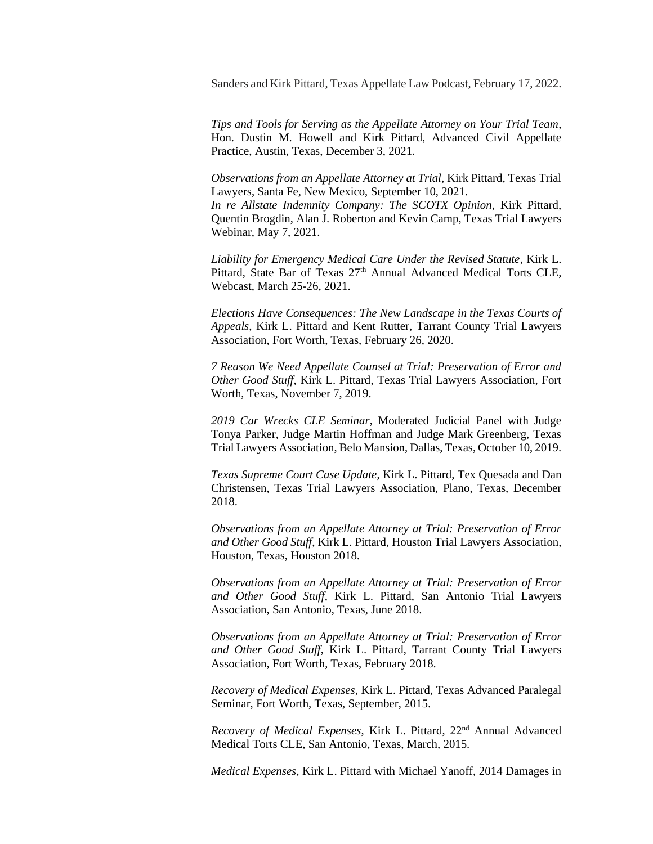Sanders and Kirk Pittard, Texas Appellate Law Podcast, February 17, 2022.

*Tips and Tools for Serving as the Appellate Attorney on Your Trial Team*, Hon. Dustin M. Howell and Kirk Pittard, Advanced Civil Appellate Practice, Austin, Texas, December 3, 2021.

*Observations from an Appellate Attorney at Trial*, Kirk Pittard, Texas Trial Lawyers, Santa Fe, New Mexico, September 10, 2021.

*In re Allstate Indemnity Company: The SCOTX Opinion*, Kirk Pittard, Quentin Brogdin, Alan J. Roberton and Kevin Camp, Texas Trial Lawyers Webinar, May 7, 2021.

*Liability for Emergency Medical Care Under the Revised Statute*, Kirk L. Pittard, State Bar of Texas 27<sup>th</sup> Annual Advanced Medical Torts CLE, Webcast, March 25-26, 2021.

*Elections Have Consequences: The New Landscape in the Texas Courts of Appeals*, Kirk L. Pittard and Kent Rutter, Tarrant County Trial Lawyers Association, Fort Worth, Texas, February 26, 2020.

*7 Reason We Need Appellate Counsel at Trial: Preservation of Error and Other Good Stuff*, Kirk L. Pittard, Texas Trial Lawyers Association, Fort Worth, Texas, November 7, 2019.

*2019 Car Wrecks CLE Seminar*, Moderated Judicial Panel with Judge Tonya Parker, Judge Martin Hoffman and Judge Mark Greenberg, Texas Trial Lawyers Association, Belo Mansion, Dallas, Texas, October 10, 2019.

*Texas Supreme Court Case Update*, Kirk L. Pittard, Tex Quesada and Dan Christensen, Texas Trial Lawyers Association, Plano, Texas, December 2018.

*Observations from an Appellate Attorney at Trial: Preservation of Error and Other Good Stuff*, Kirk L. Pittard, Houston Trial Lawyers Association, Houston, Texas, Houston 2018.

*Observations from an Appellate Attorney at Trial: Preservation of Error and Other Good Stuff*, Kirk L. Pittard, San Antonio Trial Lawyers Association, San Antonio, Texas, June 2018.

*Observations from an Appellate Attorney at Trial: Preservation of Error and Other Good Stuff*, Kirk L. Pittard, Tarrant County Trial Lawyers Association, Fort Worth, Texas, February 2018.

*Recovery of Medical Expenses*, Kirk L. Pittard, Texas Advanced Paralegal Seminar, Fort Worth, Texas, September, 2015.

*Recovery of Medical Expenses*, Kirk L. Pittard, 22nd Annual Advanced Medical Torts CLE, San Antonio, Texas, March, 2015.

*Medical Expenses,* Kirk L. Pittard with Michael Yanoff, 2014 Damages in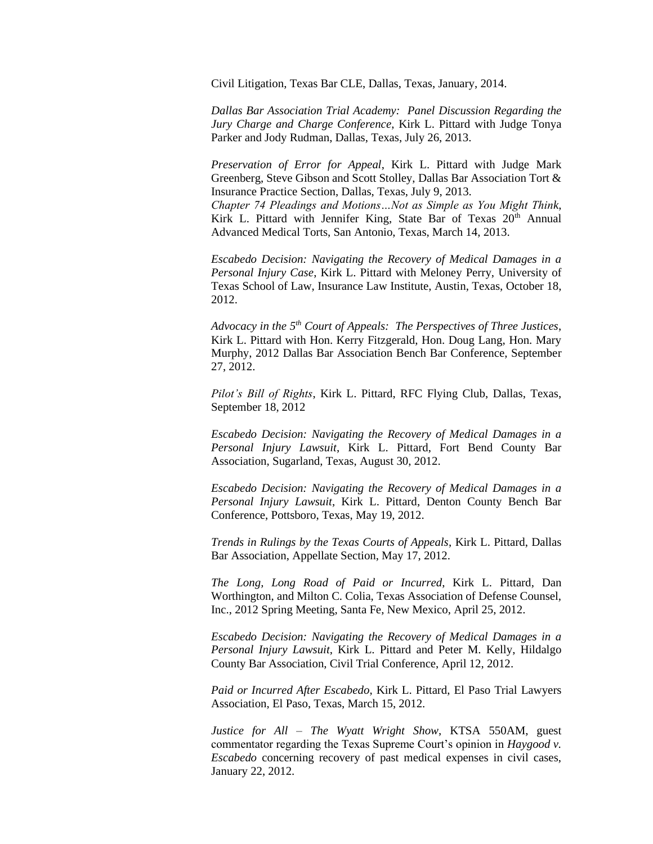Civil Litigation, Texas Bar CLE, Dallas, Texas, January, 2014.

*Dallas Bar Association Trial Academy: Panel Discussion Regarding the Jury Charge and Charge Conference*, Kirk L. Pittard with Judge Tonya Parker and Jody Rudman, Dallas, Texas, July 26, 2013.

*Preservation of Error for Appeal*, Kirk L. Pittard with Judge Mark Greenberg, Steve Gibson and Scott Stolley, Dallas Bar Association Tort & Insurance Practice Section, Dallas, Texas, July 9, 2013.

*Chapter 74 Pleadings and Motions…Not as Simple as You Might Think*, Kirk L. Pittard with Jennifer King, State Bar of Texas  $20<sup>th</sup>$  Annual Advanced Medical Torts, San Antonio, Texas, March 14, 2013.

*Escabedo Decision: Navigating the Recovery of Medical Damages in a Personal Injury Case*, Kirk L. Pittard with Meloney Perry, University of Texas School of Law, Insurance Law Institute, Austin, Texas, October 18, 2012.

*Advocacy in the 5th Court of Appeals: The Perspectives of Three Justices*, Kirk L. Pittard with Hon. Kerry Fitzgerald, Hon. Doug Lang, Hon. Mary Murphy, 2012 Dallas Bar Association Bench Bar Conference, September 27, 2012.

*Pilot's Bill of Rights*, Kirk L. Pittard, RFC Flying Club, Dallas, Texas, September 18, 2012

*Escabedo Decision: Navigating the Recovery of Medical Damages in a Personal Injury Lawsuit*, Kirk L. Pittard, Fort Bend County Bar Association, Sugarland, Texas, August 30, 2012.

*Escabedo Decision: Navigating the Recovery of Medical Damages in a Personal Injury Lawsuit*, Kirk L. Pittard, Denton County Bench Bar Conference, Pottsboro, Texas, May 19, 2012.

*Trends in Rulings by the Texas Courts of Appeals*, Kirk L. Pittard, Dallas Bar Association, Appellate Section, May 17, 2012.

*The Long, Long Road of Paid or Incurred*, Kirk L. Pittard, Dan Worthington, and Milton C. Colia, Texas Association of Defense Counsel, Inc., 2012 Spring Meeting, Santa Fe, New Mexico, April 25, 2012.

*Escabedo Decision: Navigating the Recovery of Medical Damages in a Personal Injury Lawsuit*, Kirk L. Pittard and Peter M. Kelly, Hildalgo County Bar Association, Civil Trial Conference, April 12, 2012.

*Paid or Incurred After Escabedo*, Kirk L. Pittard, El Paso Trial Lawyers Association, El Paso, Texas, March 15, 2012.

*Justice for All – The Wyatt Wright Show*, KTSA 550AM, guest commentator regarding the Texas Supreme Court's opinion in *Haygood v. Escabedo* concerning recovery of past medical expenses in civil cases, January 22, 2012.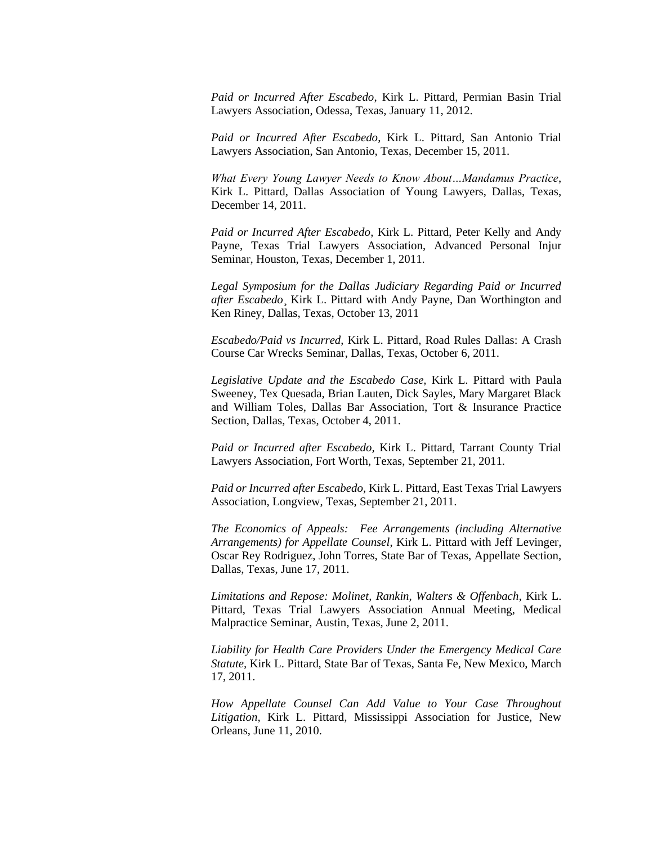*Paid or Incurred After Escabedo*, Kirk L. Pittard, Permian Basin Trial Lawyers Association, Odessa, Texas, January 11, 2012.

*Paid or Incurred After Escabedo*, Kirk L. Pittard, San Antonio Trial Lawyers Association, San Antonio, Texas, December 15, 2011.

*What Every Young Lawyer Needs to Know About…Mandamus Practice*, Kirk L. Pittard, Dallas Association of Young Lawyers, Dallas, Texas, December 14, 2011.

*Paid or Incurred After Escabedo*, Kirk L. Pittard, Peter Kelly and Andy Payne, Texas Trial Lawyers Association, Advanced Personal Injur Seminar, Houston, Texas, December 1, 2011.

*Legal Symposium for the Dallas Judiciary Regarding Paid or Incurred after Escabedo*¸ Kirk L. Pittard with Andy Payne, Dan Worthington and Ken Riney, Dallas, Texas, October 13, 2011

*Escabedo/Paid vs Incurred*, Kirk L. Pittard, Road Rules Dallas: A Crash Course Car Wrecks Seminar, Dallas, Texas, October 6, 2011.

*Legislative Update and the Escabedo Case,* Kirk L. Pittard with Paula Sweeney, Tex Quesada, Brian Lauten, Dick Sayles, Mary Margaret Black and William Toles, Dallas Bar Association, Tort & Insurance Practice Section, Dallas, Texas, October 4, 2011.

*Paid or Incurred after Escabedo,* Kirk L. Pittard, Tarrant County Trial Lawyers Association, Fort Worth, Texas, September 21, 2011.

*Paid or Incurred after Escabedo,* Kirk L. Pittard, East Texas Trial Lawyers Association, Longview, Texas, September 21, 2011.

*The Economics of Appeals: Fee Arrangements (including Alternative Arrangements) for Appellate Counsel*, Kirk L. Pittard with Jeff Levinger, Oscar Rey Rodriguez, John Torres, State Bar of Texas, Appellate Section, Dallas, Texas, June 17, 2011.

*Limitations and Repose: Molinet, Rankin, Walters & Offenbach*, Kirk L. Pittard, Texas Trial Lawyers Association Annual Meeting, Medical Malpractice Seminar, Austin, Texas, June 2, 2011.

*Liability for Health Care Providers Under the Emergency Medical Care Statute,* Kirk L. Pittard, State Bar of Texas, Santa Fe, New Mexico, March 17, 2011.

*How Appellate Counsel Can Add Value to Your Case Throughout Litigation,* Kirk L. Pittard, Mississippi Association for Justice, New Orleans, June 11, 2010.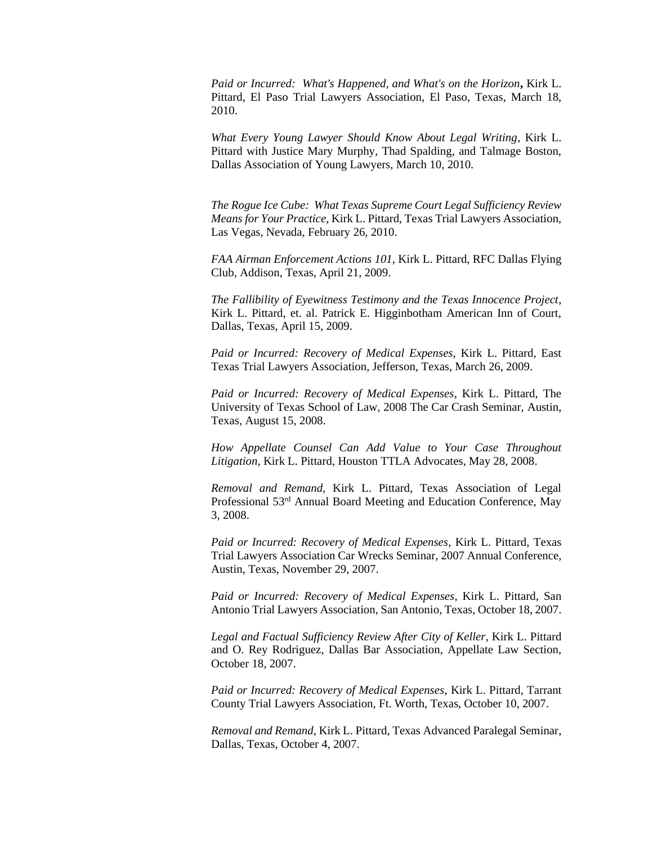*Paid or Incurred: What's Happened, and What's on the Horizon***,** Kirk L. Pittard, El Paso Trial Lawyers Association, El Paso, Texas, March 18, 2010.

*What Every Young Lawyer Should Know About Legal Writing*, Kirk L. Pittard with Justice Mary Murphy, Thad Spalding, and Talmage Boston, Dallas Association of Young Lawyers, March 10, 2010.

*The Rogue Ice Cube: What Texas Supreme Court Legal Sufficiency Review Means for Your Practice*, Kirk L. Pittard, Texas Trial Lawyers Association, Las Vegas, Nevada, February 26, 2010.

*FAA Airman Enforcement Actions 101*, Kirk L. Pittard, RFC Dallas Flying Club, Addison, Texas, April 21, 2009.

*The Fallibility of Eyewitness Testimony and the Texas Innocence Project*, Kirk L. Pittard, et. al. Patrick E. Higginbotham American Inn of Court, Dallas, Texas, April 15, 2009.

*Paid or Incurred: Recovery of Medical Expenses*, Kirk L. Pittard, East Texas Trial Lawyers Association, Jefferson, Texas, March 26, 2009.

*Paid or Incurred: Recovery of Medical Expenses*, Kirk L. Pittard, The University of Texas School of Law, 2008 The Car Crash Seminar, Austin, Texas, August 15, 2008.

*How Appellate Counsel Can Add Value to Your Case Throughout Litigation*, Kirk L. Pittard, Houston TTLA Advocates, May 28, 2008.

*Removal and Remand,* Kirk L. Pittard, Texas Association of Legal Professional 53rd Annual Board Meeting and Education Conference, May 3, 2008.

*Paid or Incurred: Recovery of Medical Expenses*, Kirk L. Pittard, Texas Trial Lawyers Association Car Wrecks Seminar, 2007 Annual Conference, Austin, Texas, November 29, 2007.

*Paid or Incurred: Recovery of Medical Expenses*, Kirk L. Pittard, San Antonio Trial Lawyers Association, San Antonio, Texas, October 18, 2007.

*Legal and Factual Sufficiency Review After City of Keller*, Kirk L. Pittard and O. Rey Rodriguez, Dallas Bar Association, Appellate Law Section, October 18, 2007.

*Paid or Incurred: Recovery of Medical Expenses*, Kirk L. Pittard, Tarrant County Trial Lawyers Association, Ft. Worth, Texas, October 10, 2007.

*Removal and Remand*, Kirk L. Pittard, Texas Advanced Paralegal Seminar, Dallas, Texas, October 4, 2007.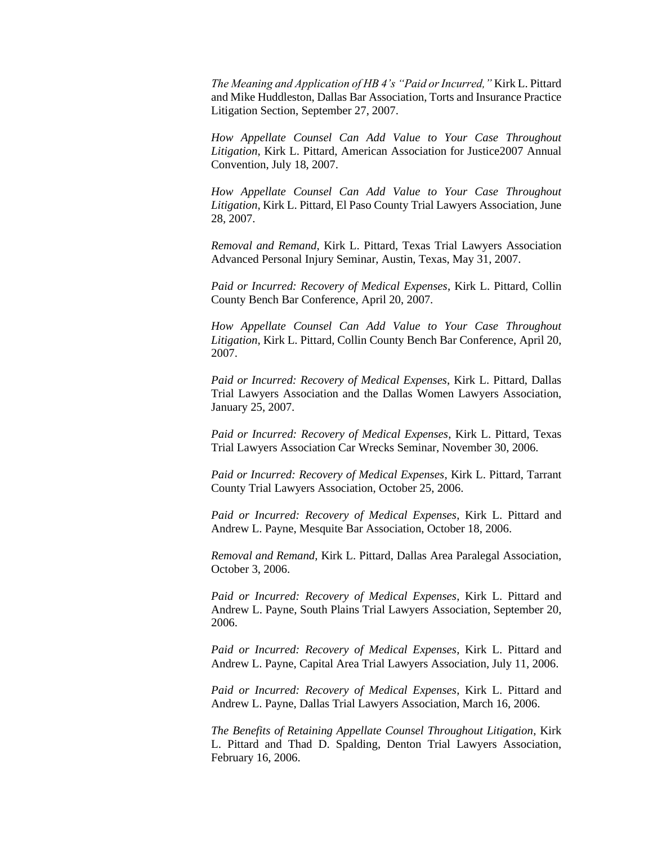*The Meaning and Application of HB 4's "Paid or Incurred,"* Kirk L. Pittard and Mike Huddleston, Dallas Bar Association, Torts and Insurance Practice Litigation Section, September 27, 2007.

*How Appellate Counsel Can Add Value to Your Case Throughout Litigation*, Kirk L. Pittard, American Association for Justice2007 Annual Convention, July 18, 2007.

*How Appellate Counsel Can Add Value to Your Case Throughout Litigation*, Kirk L. Pittard, El Paso County Trial Lawyers Association, June 28, 2007.

*Removal and Remand*, Kirk L. Pittard, Texas Trial Lawyers Association Advanced Personal Injury Seminar, Austin, Texas, May 31, 2007.

*Paid or Incurred: Recovery of Medical Expenses*, Kirk L. Pittard, Collin County Bench Bar Conference, April 20, 2007.

*How Appellate Counsel Can Add Value to Your Case Throughout Litigation*, Kirk L. Pittard, Collin County Bench Bar Conference, April 20, 2007.

*Paid or Incurred: Recovery of Medical Expenses*, Kirk L. Pittard, Dallas Trial Lawyers Association and the Dallas Women Lawyers Association, January 25, 2007.

*Paid or Incurred: Recovery of Medical Expenses*, Kirk L. Pittard, Texas Trial Lawyers Association Car Wrecks Seminar, November 30, 2006.

*Paid or Incurred: Recovery of Medical Expenses*, Kirk L. Pittard, Tarrant County Trial Lawyers Association, October 25, 2006.

*Paid or Incurred: Recovery of Medical Expenses*, Kirk L. Pittard and Andrew L. Payne, Mesquite Bar Association, October 18, 2006.

*Removal and Remand*, Kirk L. Pittard, Dallas Area Paralegal Association, October 3, 2006.

*Paid or Incurred: Recovery of Medical Expenses*, Kirk L. Pittard and Andrew L. Payne, South Plains Trial Lawyers Association, September 20, 2006.

*Paid or Incurred: Recovery of Medical Expenses*, Kirk L. Pittard and Andrew L. Payne, Capital Area Trial Lawyers Association, July 11, 2006.

*Paid or Incurred: Recovery of Medical Expenses*, Kirk L. Pittard and Andrew L. Payne, Dallas Trial Lawyers Association, March 16, 2006.

*The Benefits of Retaining Appellate Counsel Throughout Litigation*, Kirk L. Pittard and Thad D. Spalding, Denton Trial Lawyers Association, February 16, 2006.